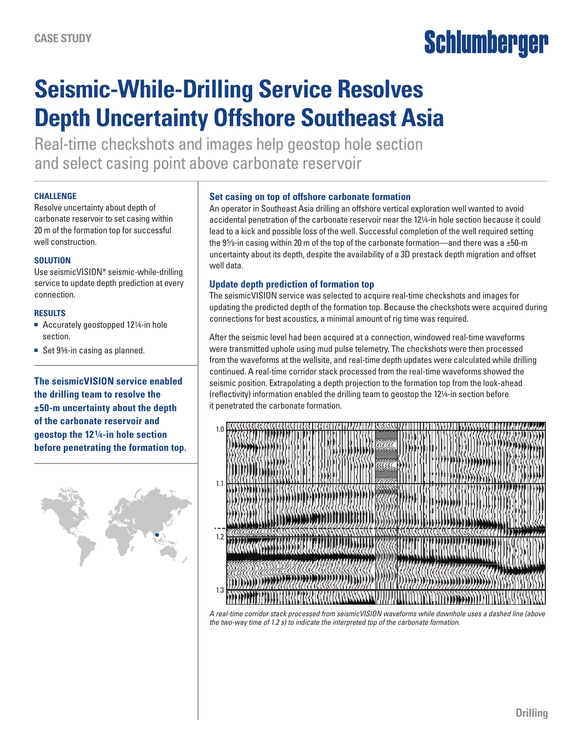# Schlumberger

## **Seismic-While-Drilling Service Resolves Depth Uncertainty Offshore Southeast Asia**

Real-time checkshots and images help geostop hole section and select casing point above carbonate reservoir

### **CHALLENGE**

Resolve uncertainty about depth of carbonate reservoir to set casing within 20 m of the formation top for successful well construction.

### **SOLUTION**

Use seismicVISION\* seismic-while-drilling service to update depth prediction at every connection.

### **RESULTS**

- Accurately geostopped 121⁄4-in hole section.
- Set 9<sup>5</sup>%-in casing as planned.

**The seismicVISION service enabled the drilling team to resolve the ±50-m uncertainty about the depth of the carbonate reservoir and geostop the 121⁄4-in hole section before penetrating the formation top.** 



### **Set casing on top of offshore carbonate formation**

An operator in Southeast Asia drilling an offshore vertical exploration well wanted to avoid accidental penetration of the carbonate reservoir near the 121⁄4-in hole section because it could lead to a kick and possible loss of the well. Successful completion of the well required setting the 9%-in casing within 20 m of the top of the carbonate formation—and there was a  $\pm 50$ -m uncertainty about its depth, despite the availability of a 3D prestack depth migration and offset well data.

### **Update depth prediction of formation top**

The seismicVISION service was selected to acquire real-time checkshots and images for updating the predicted depth of the formation top. Because the checkshots were acquired during connections for best acoustics, a minimal amount of rig time was required.

After the seismic level had been acquired at a connection, windowed real-time waveforms were transmitted uphole using mud pulse telemetry. The checkshots were then processed from the waveforms at the wellsite, and real-time depth updates were calculated while drilling continued. A real-time corridor stack processed from the real-time waveforms showed the seismic position. Extrapolating a depth projection to the formation top from the look-ahead (reflectivity) information enabled the drilling team to geostop the 121⁄4-in section before it penetrated the carbonate formation.



*A real-time corridor stack processed from seismicVISION waveforms while downhole uses a dashed line (above the two-way time of 1.2 s) to indicate the interpreted top of the carbonate formation.*